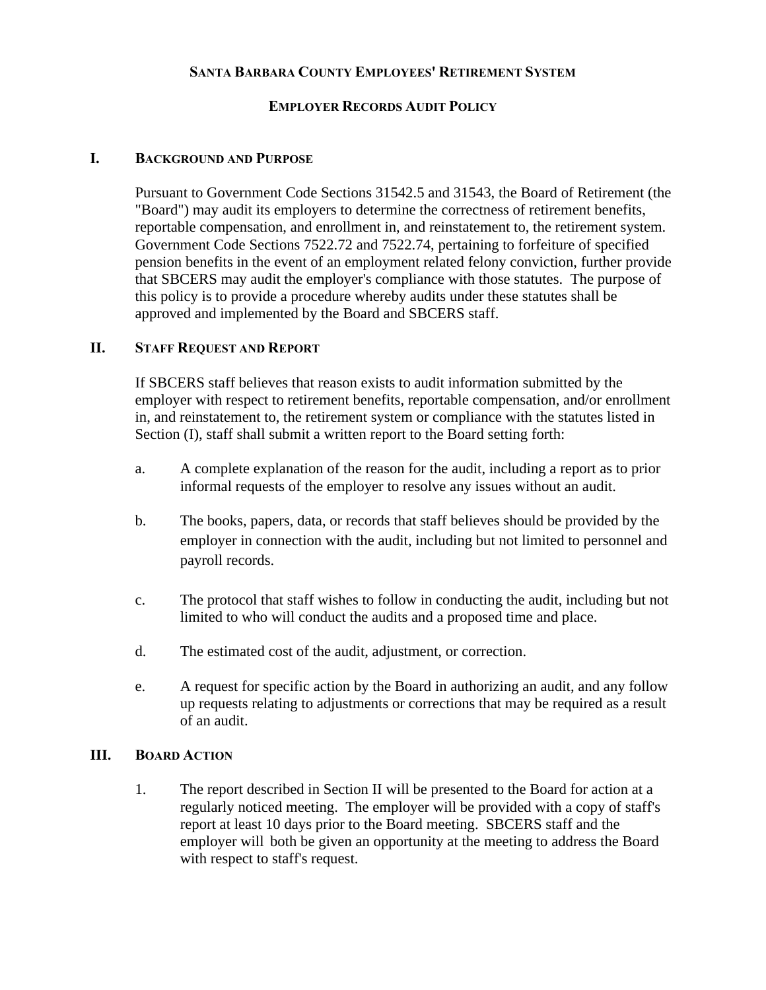# **SANTA BARBARA COUNTY EMPLOYEES' RETIREMENT SYSTEM**

# **EMPLOYER RECORDS AUDIT POLICY**

## **I. BACKGROUND AND PURPOSE**

Pursuant to Government Code Sections 31542.5 and 31543, the Board of Retirement (the "Board") may audit its employers to determine the correctness of retirement benefits, reportable compensation, and enrollment in, and reinstatement to, the retirement system. Government Code Sections 7522.72 and 7522.74, pertaining to forfeiture of specified pension benefits in the event of an employment related felony conviction, further provide that SBCERS may audit the employer's compliance with those statutes. The purpose of this policy is to provide a procedure whereby audits under these statutes shall be approved and implemented by the Board and SBCERS staff.

## **II. STAFF REQUEST AND REPORT**

If SBCERS staff believes that reason exists to audit information submitted by the employer with respect to retirement benefits, reportable compensation, and/or enrollment in, and reinstatement to, the retirement system or compliance with the statutes listed in Section (I), staff shall submit a written report to the Board setting forth:

- a. A complete explanation of the reason for the audit, including a report as to prior informal requests of the employer to resolve any issues without an audit.
- b. The books, papers, data, or records that staff believes should be provided by the employer in connection with the audit, including but not limited to personnel and payroll records.
- c. The protocol that staff wishes to follow in conducting the audit, including but not limited to who will conduct the audits and a proposed time and place.
- d. The estimated cost of the audit, adjustment, or correction.
- e. A request for specific action by the Board in authorizing an audit, and any follow up requests relating to adjustments or corrections that may be required as a result of an audit.

## **III. BOARD ACTION**

1. The report described in Section II will be presented to the Board for action at a regularly noticed meeting. The employer will be provided with a copy of staff's report at least 10 days prior to the Board meeting. SBCERS staff and the employer will both be given an opportunity at the meeting to address the Board with respect to staff's request.